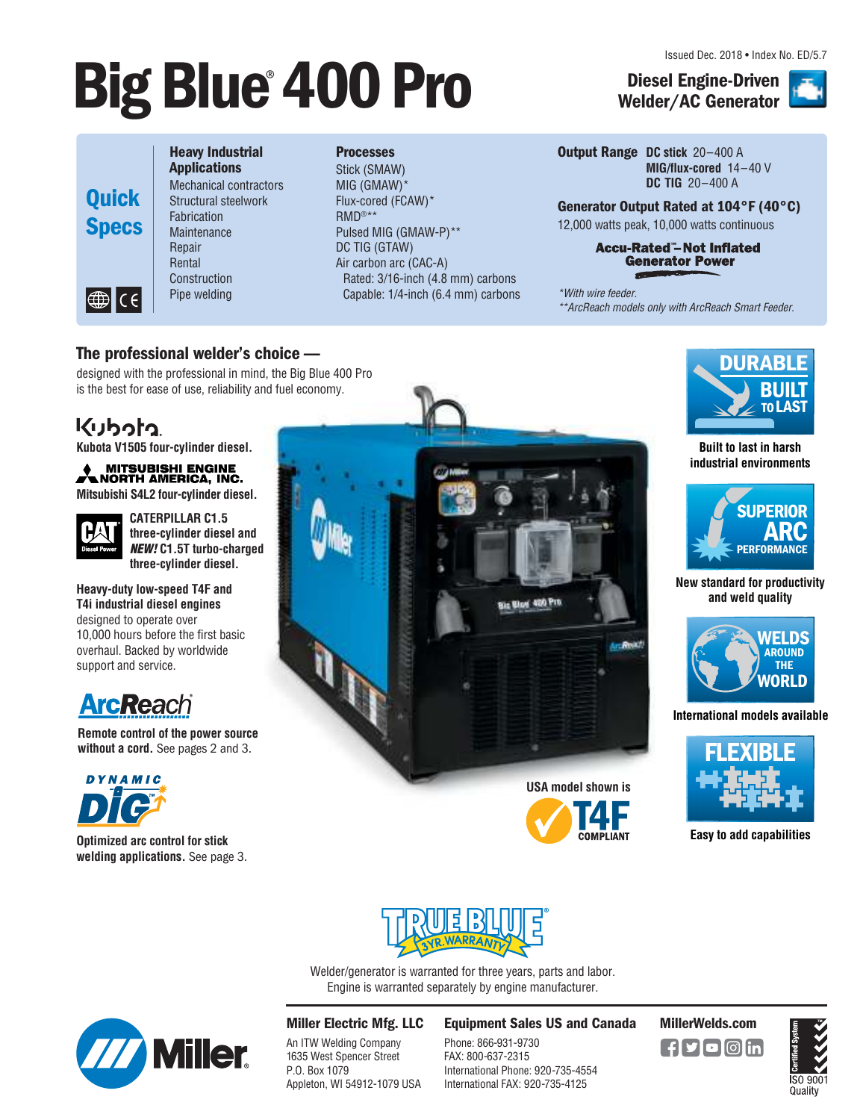Issued Dec. 2018 • Index No. ED/5.7

# **Big Blue 400 Pro Diesel Engine-Driven**



#### Heavy Industrial Applications

Mechanical contractors Structural steelwork Fabrication **Maintenance** Repair Rental **Construction** Pipe welding

#### **Processes**

Stick (SMAW) MIG (GMAW)\* Flux-cored (FCAW)\* RMD®\*\* Pulsed MIG (GMAW-P)\*\* DC TIG (GTAW) Air carbon arc (CAC-A) Rated: 3/16-inch (4.8 mm) carbons Capable: 1/4-inch (6.4 mm) carbons

#### Output Range **DC stick** 20–400 A **MIG/flux-cored** 14–40 V **DC TIG** 20–400 A

Generator Output Rated at 104°F (40°C) 12,000 watts peak, 10,000 watts continuous

#### **Accu-Rated"-Not Inflated Generator Power**

Welder/AC Generator

\*With wire feeder. \*\*ArcReach models only with ArcReach Smart Feeder.

### The professional welder's choice—

designed with the professional in mind, the Big Blue 400 Pro is the best for ease of use, reliability and fuel economy.

# <u>מ</u>לפלני

**Kubota V1505 four-cylinder diesel.**

**MITSUBISHI ENGINE<br>A NORTH AMERICA, INC. Mitsubishi S4L2 four-cylinder diesel.**



**CATERPILLAR C1.5 three-cylinder diesel and**  NEW! **C1.5T turbo-charged three-cylinder diesel.**

**Heavy-duty low-speed T4F and T4i industrial diesel engines** designed to operate over 10,000 hours before the first basic overhaul. Backed by worldwide support and service.



**Remote control of the power source without a cord.** See pages 2 and 3.



**Optimized arc control for stick welding applications.** See page 3.







#### **Built to last in harsh industrial environments**



#### **New standard for productivity and weld quality**



**International models available**



**Easy to add capabilities**



Welder/generator is warranted for three years, parts and labor. Engine is warranted separately by engine manufacturer.



### Miller Electric Mfg. LLC

An ITW Welding Company 1635 West Spencer Street P.O. Box 1079 Appleton, WI 54912-1079 USA

#### Equipment Sales US and Canada MillerWelds.com

Phone: 866-931-9730 FAX: 800-637-2315 International Phone: 920-735-4554 International FAX: 920-735-4125



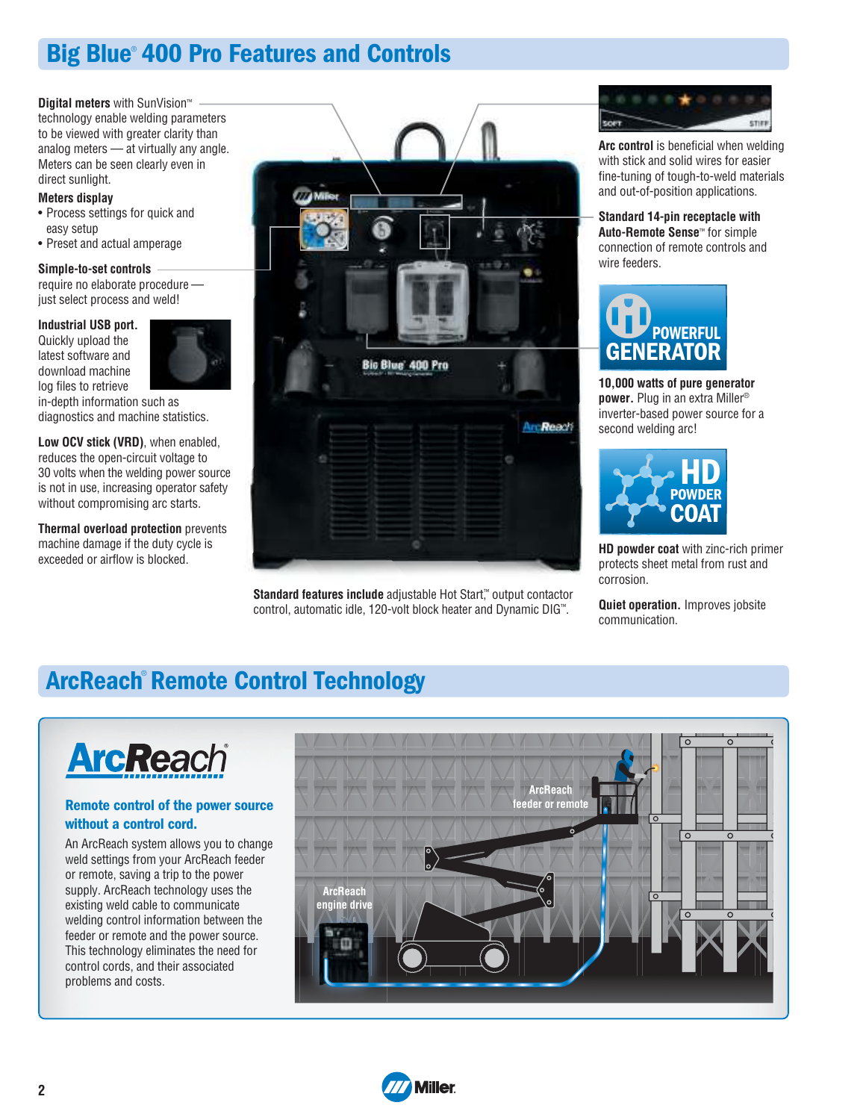# Big Blue® 400 Pro Features and Controls

**Digital meters** with SunVision™

technology enable welding parameters to be viewed with greater clarity than analog meters — at virtually any angle. Meters can be seen clearly even in direct sunlight.

#### **Meters display**

- Process settings for quick and easy setup
- Preset and actual amperage

#### **Simple-to-set controls**

require no elaborate procedure just select process and weld!

#### **Industrial USB port.**

Quickly upload the latest software and download machine log files to retrieve



in-depth information such as diagnostics and machine statistics.

**Low OCV stick (VRD)**, when enabled, reduces the open-circuit voltage to 30 volts when the welding power source is not in use, increasing operator safety without compromising arc starts.

**Thermal overload protection** prevents machine damage if the duty cycle is exceeded or airflow is blocked.



**Standard features include** adjustable Hot Start™ output contactor control, automatic idle, 120-volt block heater and Dynamic DIG™ .



**Arc control** is beneficial when welding with stick and solid wires for easier fine-tuning of tough-to-weld materials and out-of-position applications.

**Standard 14-pin receptacle with Auto-Remote Sense**™ for simple connection of remote controls and wire feeders.



**10,000 watts of pure generator power.** Plug in an extra Miller® inverter-based power source for a second welding arc!



**HD powder coat** with zinc-rich primer protects sheet metal from rust and corrosion.

**Quiet operation.** Improves jobsite communication.

# ArcReach® Remote Control Technology



### Remote control of the power source without a control cord.

An ArcReach system allows you to change weld settings from your ArcReach feeder or remote, saving a trip to the power supply. ArcReach technology uses the existing weld cable to communicate welding control information between the feeder or remote and the power source. This technology eliminates the need for control cords, and their associated problems and costs.



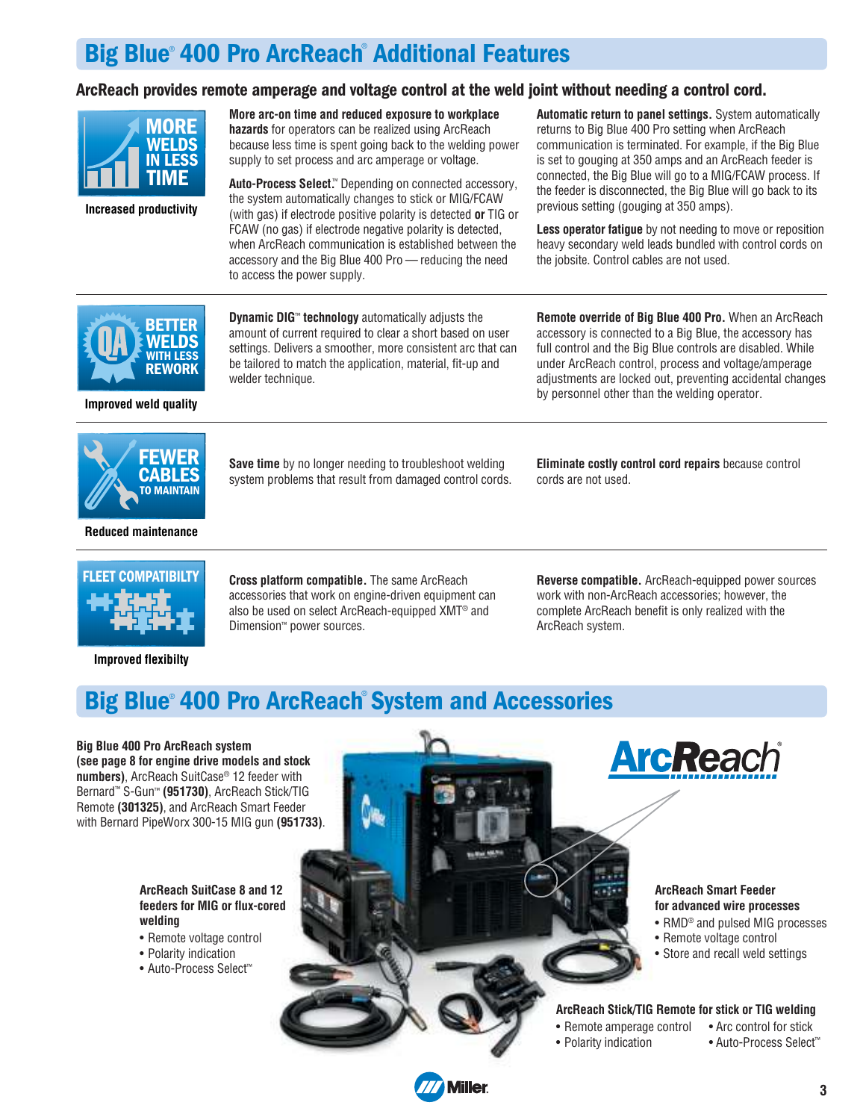# Big Blue® 400 Pro ArcReach® Additional Features

### ArcReach provides remote amperage and voltage control at the weld joint without needing a control cord.



**Increased productivity**

**More arc-on time and reduced exposure to workplace hazards** for operators can be realized using ArcReach because less time is spent going back to the welding power supply to set process and arc amperage or voltage.

**Auto-Process Select.**™ Depending on connected accessory, the system automatically changes to stick or MIG/FCAW (with gas) if electrode positive polarity is detected **or** TIG or FCAW (no gas) if electrode negative polarity is detected, when ArcReach communication is established between the accessory and the Big Blue 400 Pro — reducing the need to access the power supply.

**Automatic return to panel settings.** System automatically returns to Big Blue 400 Pro setting when ArcReach communication is terminated. For example, if the Big Blue is set to gouging at 350 amps and an ArcReach feeder is connected, the Big Blue will go to a MIG/FCAW process. If the feeder is disconnected, the Big Blue will go back to its previous setting (gouging at 350 amps).

**Less operator fatigue** by not needing to move or reposition heavy secondary weld leads bundled with control cords on the jobsite. Control cables are not used.



**Improved weld quality**

**Dynamic DIG**™ **technology** automatically adjusts the amount of current required to clear a short based on user settings. Delivers a smoother, more consistent arc that can be tailored to match the application, material, fit-up and welder technique.

**Remote override of Big Blue 400 Pro.** When an ArcReach accessory is connected to a Big Blue, the accessory has full control and the Big Blue controls are disabled. While under ArcReach control, process and voltage/amperage adjustments are locked out, preventing accidental changes by personnel other than the welding operator.



**Reduced maintenance**

**Save time** by no longer needing to troubleshoot welding system problems that result from damaged control cords.

**Eliminate costly control cord repairs** because control cords are not used.



**Improved flexibilty**

**Cross platform compatible.** The same ArcReach accessories that work on engine-driven equipment can also be used on select ArcReach-equipped XMT® and Dimension™ power sources.

**Reverse compatible.** ArcReach-equipped power sources work with non-ArcReach accessories; however, the complete ArcReach benefit is only realized with the ArcReach system.

# Big Blue® 400 Pro ArcReach® System and Accessories

**Big Blue 400 Pro ArcReach system (see page 8 for engine drive models and stock numbers)**, ArcReach SuitCase® 12 feeder with Bernard™ S-Gun™ **(951730)**, ArcReach Stick/TIG Remote **(301325)**, and ArcReach Smart Feeder with Bernard PipeWorx 300-15 MIG gun **(951733)**.

#### **ArcReach SuitCase 8 and 12 feeders for MIG or flux-cored welding**

- Remote voltage control
- Polarity indication
- Auto-Process Select™



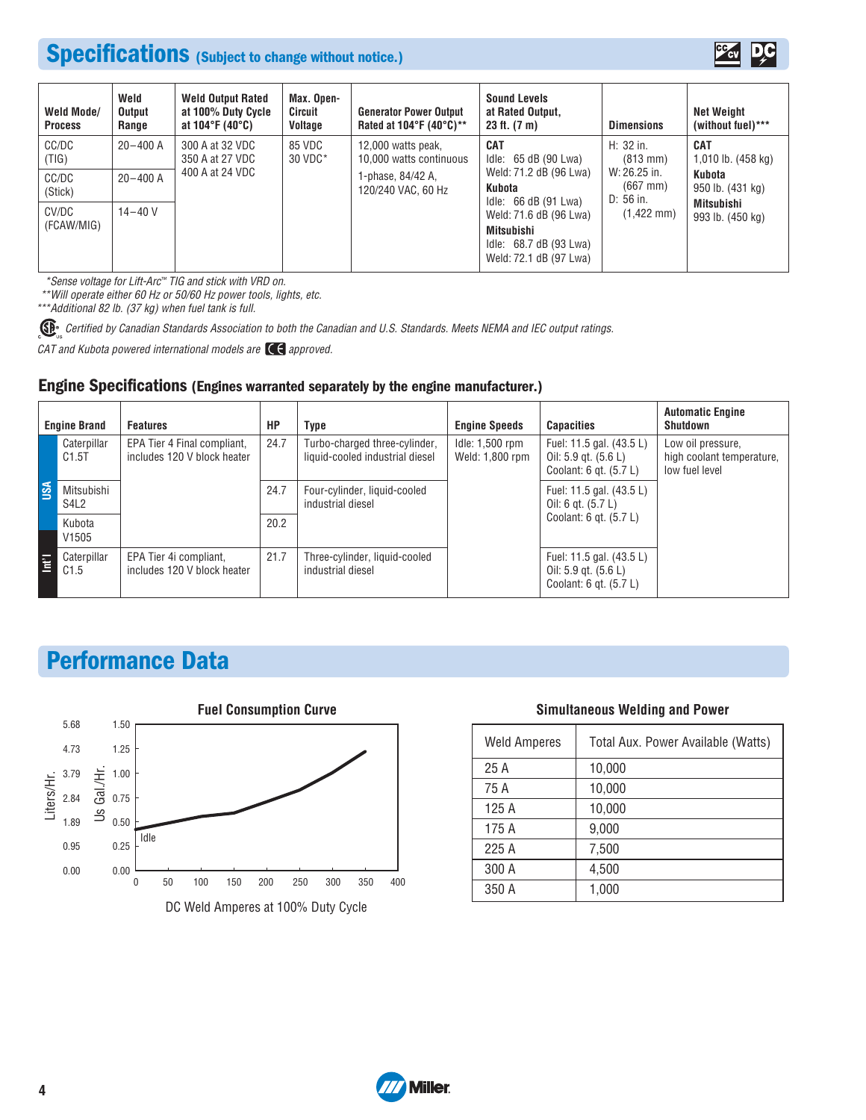# Specifications (Subject to change without notice.)



| Weld Mode/<br><b>Process</b> | Weld<br>Output<br>Range | <b>Weld Output Rated</b><br>at 100% Duty Cycle<br>at 104°F (40°C) | Max. Open-<br>Circuit<br>Voltage | <b>Generator Power Output</b><br>Rated at 104 $\degree$ F (40 $\degree$ C)** | <b>Sound Levels</b><br>at Rated Output,<br>23 ft. (7 m)                                  | <b>Dimensions</b>                       | Net Weight<br>(without fuel)***  |
|------------------------------|-------------------------|-------------------------------------------------------------------|----------------------------------|------------------------------------------------------------------------------|------------------------------------------------------------------------------------------|-----------------------------------------|----------------------------------|
| CC/DC<br>(TIG)               | $20 - 400$ A            | 300 A at 32 VDC<br>350 A at 27 VDC                                | 85 VDC<br>30 VDC*                | 12,000 watts peak,<br>10,000 watts continuous                                | <b>CAT</b><br>Idle: 65 dB (90 Lwa)                                                       | H: 32 in.<br>$(813 \, \text{mm})$       | <b>CAT</b><br>1,010 lb. (458 kg) |
| CC/DC<br>(Stick)             | $20 - 400$ A            | 400 A at 24 VDC                                                   |                                  | 1-phase, 84/42 A,<br>120/240 VAC, 60 Hz                                      | Weld: 71.2 dB (96 Lwa)<br>Kubota<br>Idle: $66 dB (91 Lwa)$                               | W: 26.25 in.<br>$(667$ mm)<br>D: 56 in. | Kubota<br>950 lb. (431 kg)       |
| CV/DC<br>(FCAW/MIG)          | $14 - 40V$              |                                                                   |                                  |                                                                              | Weld: 71.6 dB (96 Lwa)<br>Mitsubishi<br>Idle: 68.7 dB (93 Lwa)<br>Weld: 72.1 dB (97 Lwa) | $(1,422 \text{ mm})$                    | Mitsubishi<br>993 lb. (450 kg)   |

\*Sense voltage for Lift-Arc ™ TIG and stick with VRD on.

\*\*Will operate either 60 Hz or 50/60 Hz power tools, lights, etc.

\*\*\*Additional 82 lb. (37 kg) when fuel tank is full.

Comes Certified by Canadian Standards Association to both the Canadian and U.S. Standards. Meets NEMA and IEC output ratings.

CAT and Kubota powered international models are  $\mathsf{C}\mathsf{C}$  approved.

#### Engine Specifications (Engines warranted separately by the engine manufacturer.)

| <b>Engine Brand</b> |                             | <b>Features</b>                                            | HP   | Type                                                             | <b>Engine Speeds</b>               | <b>Capacities</b>                                                                  | <b>Automatic Engine</b><br><b>Shutdown</b>                       |  |
|---------------------|-----------------------------|------------------------------------------------------------|------|------------------------------------------------------------------|------------------------------------|------------------------------------------------------------------------------------|------------------------------------------------------------------|--|
|                     | Caterpillar<br>C1.5T        | EPA Tier 4 Final compliant,<br>includes 120 V block heater | 24.7 | Turbo-charged three-cylinder,<br>liquid-cooled industrial diesel | Idle: 1,500 rpm<br>Weld: 1,800 rpm | Fuel: 11.5 gal. (43.5 L)<br>Oil: $5.9$ gt. $(5.6 L)$<br>Coolant: $6$ gt. $(5.7 L)$ | Low oil pressure,<br>high coolant temperature,<br>low fuel level |  |
| <b>USA</b>          | Mitsubishi<br>S4L2          |                                                            |      | Four-cylinder, liquid-cooled<br>industrial diesel                |                                    | Fuel: 11.5 gal. (43.5 L)<br>Oil: 6 gt. $(5.7 L)$                                   |                                                                  |  |
|                     | Kubota<br>V <sub>1505</sub> |                                                            | 20.2 |                                                                  |                                    | Coolant: 6 gt. (5.7 L)                                                             |                                                                  |  |
| E                   | Caterpillar<br>C1.5         | EPA Tier 4i compliant,<br>includes 120 V block heater      | 21.7 | Three-cylinder, liquid-cooled<br>industrial diesel               |                                    | Fuel: 11.5 gal. (43.5 L)<br>Oil: $5.9$ qt. $(5.6 L)$<br>Coolant: $6$ gt. $(5.7 L)$ |                                                                  |  |

# Performance Data



#### **Simultaneous Welding and Power**

| <b>Weld Amperes</b> | Total Aux. Power Available (Watts) |
|---------------------|------------------------------------|
| 25 A                | 10,000                             |
| 75 A                | 10,000                             |
| 125 A               | 10,000                             |
| 175 A               | 9,000                              |
| 225 A               | 7,500                              |
| 300 A               | 4,500                              |
| 350 A               | 1,000                              |

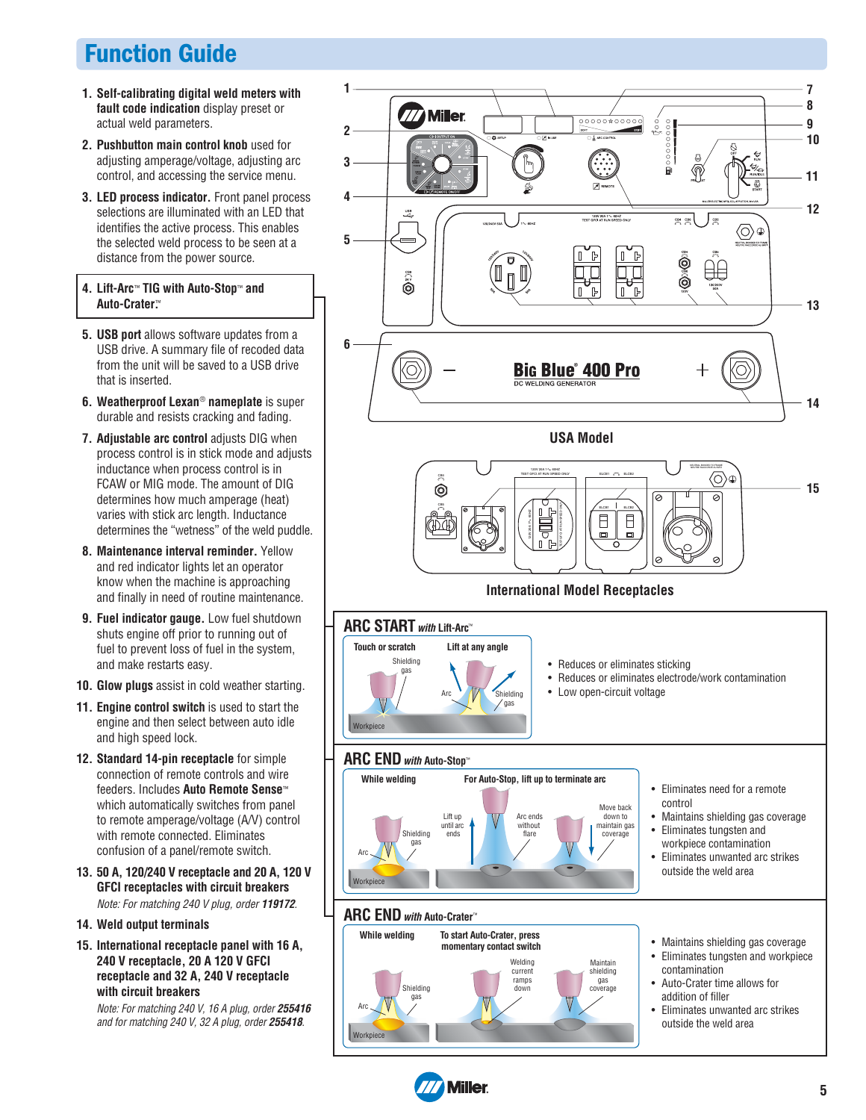# Function Guide

- **1. Self-calibrating digital weld meters with fault code indication** display preset or actual weld parameters.
- **2. Pushbutton main control knob** used for adjusting amperage/voltage, adjusting arc control, and accessing the service menu.
- **3. LED process indicator.** Front panel process selections are illuminated with an LED that identifies the active process. This enables the selected weld process to be seen at a distance from the power source.

#### **4. Lift-Arc**™ **TIG with Auto-Stop**™ **and Auto-Crater.**™

- **5. USB port** allows software updates from a USB drive. A summary file of recoded data from the unit will be saved to a USB drive that is inserted.
- **6. Weatherproof Lexan**® **nameplate** is super durable and resists cracking and fading.
- **7. Adjustable arc control** adjusts DIG when process control is in stick mode and adjusts inductance when process control is in FCAW or MIG mode. The amount of DIG determines how much amperage (heat) varies with stick arc length. Inductance determines the "wetness" of the weld puddle.
- **8. Maintenance interval reminder.** Yellow and red indicator lights let an operator know when the machine is approaching and finally in need of routine maintenance.
- **9. Fuel indicator gauge.** Low fuel shutdown shuts engine off prior to running out of fuel to prevent loss of fuel in the system, and make restarts easy.
- **10. Glow plugs** assist in cold weather starting.
- **11. Engine control switch** is used to start the engine and then select between auto idle and high speed lock.
- **12. Standard 14-pin receptacle** for simple connection of remote controls and wire feeders. Includes **Auto Remote Sense**™ which automatically switches from panel to remote amperage/voltage (A/V) control with remote connected. Eliminates confusion of a panel/remote switch.
- **13. 50 A, 120/240 V receptacle and 20 A, 120 V GFCI receptacles with circuit breakers** Note: For matching 240 V plug, order **119172**.
- **14. Weld output terminals**
- **15. International receptacle panel with 16 A, 240 V receptacle, 20 A 120 V GFCI receptacle and 32 A, 240 V receptacle with circuit breakers**

Note: For matching 240 V, 16 A plug, order **255416** and for matching 240 V, 32 A plug, order **255418**.



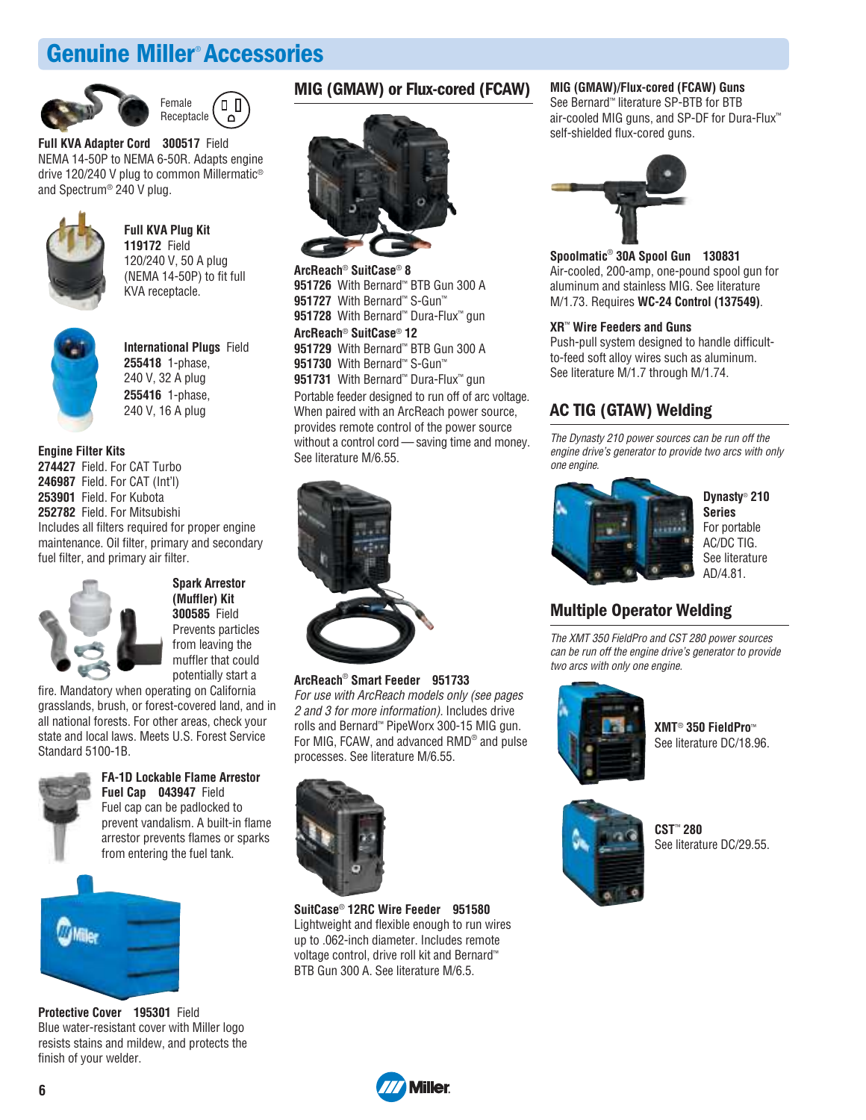# Genuine Miller® Accessories





**Full KVA Adapter Cord 300517** Field NEMA 14-50P to NEMA 6-50R. Adapts engine drive 120/240 V plug to common Millermatic® and Spectrum® 240 V plug.



**Full KVA Plug Kit 119172** Field 120/240 V, 50 A plug (NEMA 14-50P) to fit full KVA receptacle.



**International Plugs** Field **255418** 1-phase, 240 V, 32 A plug **255416** 1-phase, 240 V, 16 A plug

**Engine Filter Kits 274427** Field. For CAT Turbo **246987** Field. For CAT (Int'l) **253901** Field. For Kubota **252782** Field. For Mitsubishi Includes all filters required for proper engine maintenance. Oil filter, primary and secondary fuel filter, and primary air filter.



**Spark Arrestor (Muffler) Kit 300585** Field Prevents particles from leaving the muffler that could potentially start a

fire. Mandatory when operating on California grasslands, brush, or forest-covered land, and in all national forests. For other areas, check your state and local laws. Meets U.S. Forest Service Standard 5100-1B.



**FA-1D Lockable Flame Arrestor Fuel Cap 043947** Field Fuel cap can be padlocked to prevent vandalism. A built-in flame arrestor prevents flames or sparks



**Protective Cover 195301** Field Blue water-resistant cover with Miller logo resists stains and mildew, and protects the finish of your welder.

### MIG (GMAW) or Flux-cored (FCAW)



**ArcReach**® **SuitCase**® **8** With Bernard™ BTB Gun 300 A With Bernard™ S-Gun™ With Bernard™ Dura-Flux™ gun

**ArcReach**® **SuitCase**® **12 951729** With Bernard™ BTB Gun 300 A **951730** With Bernard™ S-Gun™ **951731** With Bernard™ Dura-Flux™ gun Portable feeder designed to run off of arc voltage. When paired with an ArcReach power source, provides remote control of the power source without a control cord — saving time and money. See literature M/6.55.



#### **ArcReach**® **Smart Feeder 951733**

For use with ArcReach models only (see pages 2 and 3 for more information). Includes drive rolls and Bernard™ PipeWorx 300-15 MIG gun. For MIG, FCAW, and advanced RMD® and pulse processes. See literature M/6.55.



**SuitCase**® **12RC Wire Feeder 951580** Lightweight and flexible enough to run wires up to .062-inch diameter. Includes remote voltage control, drive roll kit and Bernard™ BTB Gun 300 A. See literature M/6.5.

#### **MIG (GMAW)/Flux-cored (FCAW) Guns**

See Bernard™ literature SP-BTB for BTB air-cooled MIG guns, and SP-DF for Dura-Flux™ self-shielded flux-cored guns.



**Spoolmatic**® **30A Spool Gun 130831** Air-cooled, 200-amp, one-pound spool gun for aluminum and stainless MIG. See literature M/1.73. Requires **WC-24 Control (137549)**.

#### **XR**™ **Wire Feeders and Guns**

Push-pull system designed to handle difficultto-feed soft alloy wires such as aluminum. See literature M/1.7 through M/1.74.

### AC TIG (GTAW) Welding

The Dynasty 210 power sources can be run off the engine drive's generator to provide two arcs with only one engine.



**Dynasty**® **210 Series** For portable AC/DC TIG. See literature AD/4.81.

### Multiple Operator Welding

The XMT 350 FieldPro and CST 280 power sources can be run off the engine drive's generator to provide two arcs with only one engine.



**XMT**® **350 FieldPro**™ See literature DC/18.96.



**CST**™ **280**  See literature DC/29.55.

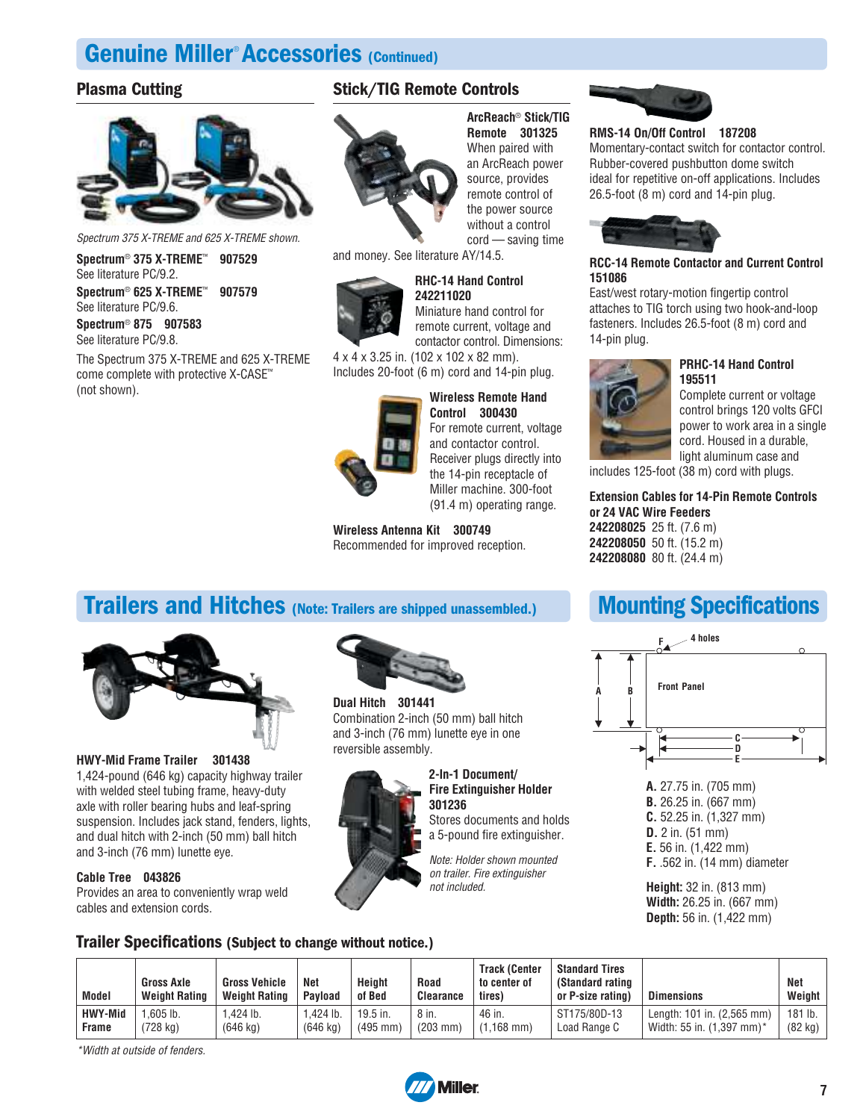# Genuine Miller® Accessories (Continued)

### Plasma Cutting



Spectrum 375 X-TREME and 625 X-TREME shown.

**Spectrum**® **375 X-TREME**™ **907529** See literature PC/9.2.

**Spectrum**® **625 X-TREME**™ **907579** See literature PC/9.6.

**Spectrum**® **875 907583** See literature PC/9.8.

The Spectrum 375 X-TREME and 625 X-TREME come complete with protective X-CASE™ (not shown).

### Stick/TIG Remote Controls



**ArcReach**® **Stick/TIG Remote 301325** When paired with an ArcReach power source, provides remote control of the power source without a control cord — saving time

and money. See literature AY/14.5.

### **RHC-14 Hand Control**



**242211020** Miniature hand control for remote current, voltage and contactor control. Dimensions:

4 x 4 x 3.25 in. (102 x 102 x 82 mm). Includes 20-foot (6 m) cord and 14-pin plug.



**Wireless Remote Hand**

**Control 300430** For remote current, voltage and contactor control. Receiver plugs directly into the 14-pin receptacle of Miller machine. 300-foot (91.4 m) operating range.

#### **Wireless Antenna Kit 300749**

Recommended for improved reception.

## Trailers and Hitches (Note: Trailers are shipped unassembled.)



#### **HWY-Mid Frame Trailer 301438**

1,424-pound (646 kg) capacity highway trailer with welded steel tubing frame, heavy-duty axle with roller bearing hubs and leaf-spring suspension. Includes jack stand, fenders, lights, and dual hitch with 2-inch (50 mm) ball hitch and 3-inch (76 mm) lunette eye.

#### **Cable Tree 043826**

Provides an area to conveniently wrap weld cables and extension cords.



**Dual Hitch 301441** Combination 2-inch (50 mm) ball hitch and 3-inch (76 mm) lunette eye in one reversible assembly.



**2-In-1 Document/ Fire Extinguisher Holder 301236**

Stores documents and holds a 5-pound fire extinguisher.

Note: Holder shown mounted on trailer. Fire extinguisher not included.



### **RMS-14 On/Off Control 187208**

Momentary-contact switch for contactor control. Rubber-covered pushbutton dome switch ideal for repetitive on-off applications. Includes 26.5-foot (8 m) cord and 14-pin plug.



#### **RCC-14 Remote Contactor and Current Control 151086**

East/west rotary-motion fingertip control attaches to TIG torch using two hook-and-loop fasteners. Includes 26.5-foot (8 m) cord and 14-pin plug.



**195511** Complete current or voltage control brings 120 volts GFCI power to work area in a single cord. Housed in a durable, light aluminum case and

**PRHC-14 Hand Control**

includes 125-foot (38 m) cord with plugs.

#### **Extension Cables for 14-Pin Remote Controls or 24 VAC Wire Feeders**

**242208025** 25 ft. (7.6 m) **242208050** 50 ft. (15.2 m) **242208080** 80 ft. (24.4 m)

# Mounting Specifications



**A.** 27.75 in. (705 mm) **B.** 26.25 in. (667 mm) **C.** 52.25 in. (1,327 mm) **D.** 2 in. (51 mm) **E.** 56 in. (1,422 mm) **F.** .562 in. (14 mm) diameter

**Height:** 32 in. (813 mm) **Width:** 26.25 in. (667 mm) **Depth:** 56 in. (1,422 mm)

### Trailer Specifications (Subject to change without notice.)

| <b>Model</b> | <b>Gross Axle</b><br><b>Weight Rating</b> | <b>Gross Vehicle</b><br><b>Weight Rating</b> | Net<br><b>Pavload</b> | Height<br>of Bed | <b>Road</b><br><b>Clearance</b> | <b>Track (Center</b><br>to center of<br>tires) | <b>Standard Tires</b><br>(Standard rating<br>or P-size rating) | <b>Dimensions</b>          | Net<br>Weight     |
|--------------|-------------------------------------------|----------------------------------------------|-----------------------|------------------|---------------------------------|------------------------------------------------|----------------------------------------------------------------|----------------------------|-------------------|
| HWY-Mid      | $.605$ lb.                                | .424 lb.                                     | .424 lb               | 19.5 in.         | 8 in.                           | 46 in.                                         | ST175/80D-13                                                   | Length: 101 in. (2,565 mm) | 181 lb.           |
| Frame        | (728 kg)                                  | $(646 \text{ kg})$                           | $(646 \text{ kg})$    | $(495$ mm)       | $(203 \, \text{mm})$            | $(1.168$ mm)                                   | Load Range C                                                   | Width: 55 in. (1.397 mm)*  | $(82 \text{ kg})$ |

\*Width at outside of fenders.